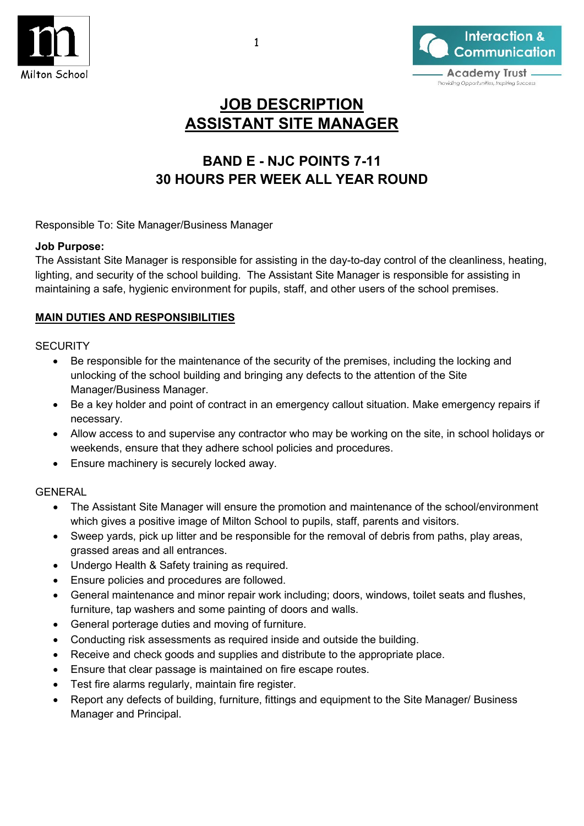



# **JOB DESCRIPTION ASSISTANT SITE MANAGER**

## **BAND E - NJC POINTS 7-11 30 HOURS PER WEEK ALL YEAR ROUND**

Responsible To: Site Manager/Business Manager

#### **Job Purpose:**

The Assistant Site Manager is responsible for assisting in the day-to-day control of the cleanliness, heating, lighting, and security of the school building. The Assistant Site Manager is responsible for assisting in maintaining a safe, hygienic environment for pupils, staff, and other users of the school premises.

## **MAIN DUTIES AND RESPONSIBILITIES**

#### **SECURITY**

- Be responsible for the maintenance of the security of the premises, including the locking and unlocking of the school building and bringing any defects to the attention of the Site Manager/Business Manager.
- Be a key holder and point of contract in an emergency callout situation. Make emergency repairs if necessary.
- Allow access to and supervise any contractor who may be working on the site, in school holidays or weekends, ensure that they adhere school policies and procedures.
- Ensure machinery is securely locked away.

### GENERAL

- The Assistant Site Manager will ensure the promotion and maintenance of the school/environment which gives a positive image of Milton School to pupils, staff, parents and visitors.
- Sweep yards, pick up litter and be responsible for the removal of debris from paths, play areas, grassed areas and all entrances.
- Undergo Health & Safety training as required.
- Ensure policies and procedures are followed.
- General maintenance and minor repair work including; doors, windows, toilet seats and flushes, furniture, tap washers and some painting of doors and walls.
- General porterage duties and moving of furniture.
- Conducting risk assessments as required inside and outside the building.
- Receive and check goods and supplies and distribute to the appropriate place.
- Ensure that clear passage is maintained on fire escape routes.
- Test fire alarms regularly, maintain fire register.
- Report any defects of building, furniture, fittings and equipment to the Site Manager/ Business Manager and Principal.

1